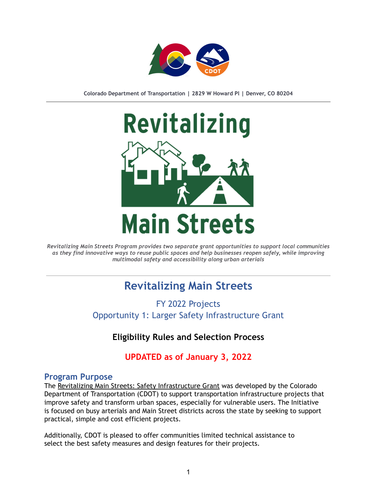

**Colorado Department of Transportation | 2829 W Howard Pl | Denver, CO 80204**



*Revitalizing Main Streets Program provides two separate grant opportunities to support local communities as they find innovative ways to reuse public spaces and help businesses reopen safely, while improving multimodal safety and accessibility along urban arterials*

# **Revitalizing Main Streets**

FY 2022 Projects Opportunity 1: Larger Safety Infrastructure Grant

**Eligibility Rules and Selection Process**

**UPDATED as of January 3, 2022**

#### **Program Purpose**

The Revitalizing Main Streets: Safety Infrastructure Grant was developed by the Colorado Department of Transportation (CDOT) to support transportation infrastructure projects that improve safety and transform urban spaces, especially for vulnerable users. The Initiative is focused on busy arterials and Main Street districts across the state by seeking to support practical, simple and cost efficient projects.

Additionally, CDOT is pleased to offer communities limited technical assistance to select the best safety measures and design features for their projects.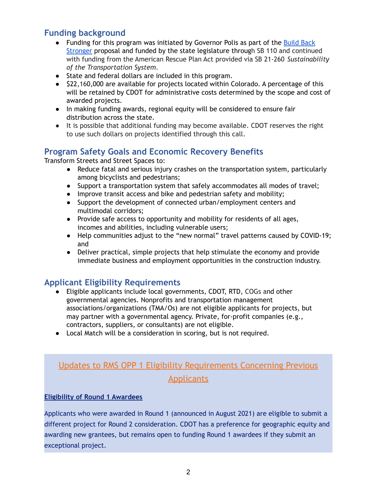## **Funding background**

- Funding for this program was initiated by Governor Polis as part of the [Build](https://www.colorado.gov/governor/news/3376-governor-polis-releases-state-budget-proposal) Back [Stronger](https://www.colorado.gov/governor/news/3376-governor-polis-releases-state-budget-proposal) proposal and funded by the state legislature through SB 110 and continued with funding from the American Rescue Plan Act provided via SB 21-260 *Sustainability of the Transportation System*.
- State and federal dollars are included in this program.
- \$22,160,000 are available for projects located within Colorado. A percentage of this will be retained by CDOT for administrative costs determined by the scope and cost of awarded projects.
- In making funding awards, regional equity will be considered to ensure fair distribution across the state.
- It is possible that additional funding may become available. CDOT reserves the right to use such dollars on projects identified through this call.

## **Program Safety Goals and Economic Recovery Benefits**

Transform Streets and Street Spaces to:

- Reduce fatal and serious injury crashes on the transportation system, particularly among bicyclists and pedestrians;
- Support a transportation system that safely accommodates all modes of travel;
- Improve transit access and bike and pedestrian safety and mobility;
- Support the development of connected urban/employment centers and multimodal corridors;
- Provide safe access to opportunity and mobility for residents of all ages, incomes and abilities, including vulnerable users;
- Help communities adjust to the "new normal" travel patterns caused by COVID-19; and
- Deliver practical, simple projects that help stimulate the economy and provide immediate business and employment opportunities in the construction industry.

## **Applicant Eligibility Requirements**

- Eligible applicants include local governments, CDOT, RTD, COGs and other governmental agencies. Nonprofits and transportation management associations/organizations (TMA/Os) are not eligible applicants for projects, but may partner with a governmental agency. Private, for-profit companies (e.g., contractors, suppliers, or consultants) are not eligible.
- Local Match will be a consideration in scoring, but is not required.

## Updates to RMS OPP 1 Eligibility Requirements Concerning Previous **Applicants**

#### **Eligibility of Round 1 Awardees**

Applicants who were awarded in Round 1 (announced in August 2021) are eligible to submit a different project for Round 2 consideration. CDOT has a preference for geographic equity and awarding new grantees, but remains open to funding Round 1 awardees if they submit an exceptional project.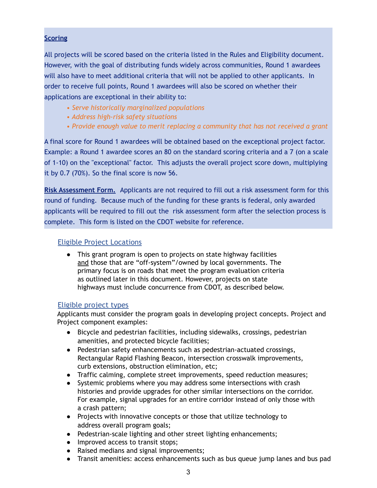#### **Scoring**

All projects will be scored based on the criteria listed in the Rules and Eligibility document. However, with the goal of distributing funds widely across communities, Round 1 awardees will also have to meet additional criteria that will not be applied to other applicants. In order to receive full points, Round 1 awardees will also be scored on whether their applications are exceptional in their ability to:

- *Serve historically marginalized populations*
- *Address high-risk safety situations*
- *Provide enough value to merit replacing a community that has not received a grant*

A final score for Round 1 awardees will be obtained based on the exceptional project factor. Example: a Round 1 awardee scores an 80 on the standard scoring criteria and a 7 (on a scale of 1-10) on the "exceptional" factor. This adjusts the overall project score down, multiplying it by 0.7 (70%). So the final score is now 56.

**Risk Assessment Form.** Applicants are not required to fill out a risk assessment form for this round of funding. Because much of the funding for these grants is federal, only awarded applicants will be required to fill out the risk assessment form after the selection process is complete. This form is listed on the CDOT website for reference.

#### Eligible Project Locations

● This grant program is open to projects on state highway facilities and those that are "off-system"/owned by local governments. The primary focus is on roads that meet the program evaluation criteria as outlined later in this document. However, projects on state highways must include concurrence from CDOT, as described below.

#### Eligible project types

Applicants must consider the program goals in developing project concepts. Project and Project component examples:

- Bicycle and pedestrian facilities, including sidewalks, crossings, pedestrian amenities, and protected bicycle facilities;
- Pedestrian safety enhancements such as pedestrian-actuated crossings, Rectangular Rapid Flashing Beacon, intersection crosswalk improvements, curb extensions, obstruction elimination, etc;
- Traffic calming, complete street improvements, speed reduction measures;
- Systemic problems where you may address some intersections with crash histories and provide upgrades for other similar intersections on the corridor. For example, signal upgrades for an entire corridor instead of only those with a crash pattern;
- Projects with innovative concepts or those that utilize technology to address overall program goals;
- Pedestrian-scale lighting and other street lighting enhancements;
- Improved access to transit stops;
- Raised medians and signal improvements;
- Transit amenities: access enhancements such as bus queue jump lanes and bus pad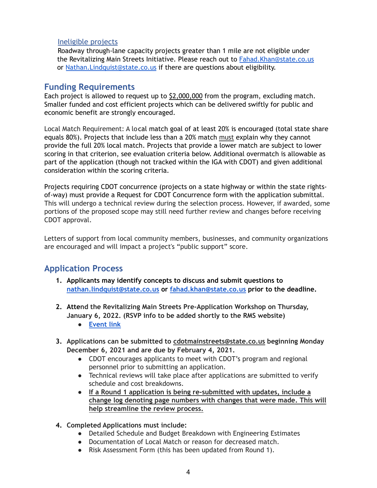#### Ineligible projects

Roadway through-lane capacity projects greater than 1 mile are not eligible under the Revitalizing Main Streets Initiative. Please reach out to [Fahad.Khan@state.co.us](mailto:Fahad.Khan@state.co.us) or [Nathan.Lindquist@state.co.us](mailto:Nathan.Lindquist@state.co.us) if there are questions about eligibility.

#### **Funding Requirements**

Each project is allowed to request up to \$2,000,000 from the program, excluding match. Smaller funded and cost efficient projects which can be delivered swiftly for public and economic benefit are strongly encouraged.

Local Match Requirement: A local match goal of at least 20% is encouraged (total state share equals 80%). Projects that include less than a 20% match must explain why they cannot provide the full 20% local match. Projects that provide a lower match are subject to lower scoring in that criterion, see evaluation criteria below. Additional overmatch is allowable as part of the application (though not tracked within the IGA with CDOT) and given additional consideration within the scoring criteria.

Projects requiring CDOT concurrence (projects on a state highway or within the state rightsof-way) must provide a Request for CDOT Concurrence form with the application submittal. This will undergo a technical review during the selection process. However, if awarded, some portions of the proposed scope may still need further review and changes before receiving CDOT approval.

Letters of support from local community members, businesses, and community organizations are encouraged and will impact a project's "public support" score.

## **Application Process**

- **1. Applicants may identify concepts to discuss and submit questions to [nathan.lindquist@state.co.us](mailto:nathan.linquist@state.co.us) or [fahad.khan@state.co.us](mailto:fahad.khan@state.co.us) prior to the deadline.**
- **2. Attend the Revitalizing Main Streets Pre-Application Workshop on Thursday, January 6, 2022. (RSVP info to be added shortly to the RMS website)**
	- **● [Event link](https://www.eventbrite.com/e/revitalizing-main-streets-pre-application-workshop-january-6th-2021-tickets-221545758327)**
- **3. Applications can be submitted to [cdotmainstreets@state.co.us](mailto:cdotmainstreets@state.co.us) beginning Monday December 6, 2021 and are due by February 4, 2021.**
	- CDOT encourages applicants to meet with CDOT's program and regional personnel prior to submitting an application.
	- Technical reviews will take place after applications are submitted to verify schedule and cost breakdowns.
	- **If a Round 1 application is being re-submitted with updates, include a change log denoting page numbers with changes that were made. This will help streamline the review process.**
- **4. Completed Applications must include:**
	- Detailed Schedule and Budget Breakdown with Engineering Estimates
	- Documentation of Local Match or reason for decreased match.
	- Risk Assessment Form (this has been updated from Round 1).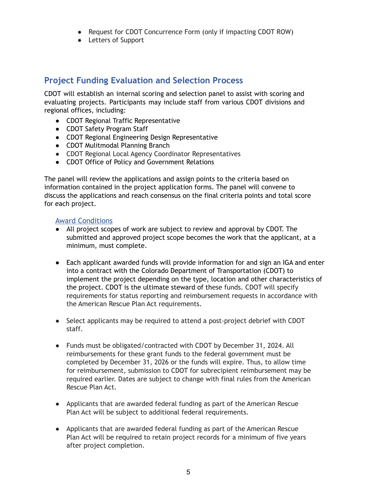- Request for CDOT Concurrence Form (only if impacting CDOT ROW)
- Letters of Support

### **Project Funding Evaluation and Selection Process**

CDOT will establish an internal scoring and selection panel to assist with scoring and evaluating projects. Participants may include staff from various CDOT divisions and regional offices, including:

- CDOT Regional Traffic Representative
- CDOT Safety Program Staff
- CDOT Regional Engineering Design Representative
- CDOT Mulitmodal Planning Branch
- CDOT Regional Local Agency Coordinator Representatives
- CDOT Office of Policy and Government Relations

The panel will review the applications and assign points to the criteria based on information contained in the project application forms. The panel will convene to discuss the applications and reach consensus on the final criteria points and total score for each project.

#### Award Conditions

- All project scopes of work are subject to review and approval by CDOT. The submitted and approved project scope becomes the work that the applicant, at a minimum, must complete.
- Each applicant awarded funds will provide information for and sign an IGA and enter into a contract with the Colorado Department of Transportation (CDOT) to implement the project depending on the type, location and other characteristics of the project. CDOT is the ultimate steward of these funds. CDOT will specify requirements for status reporting and reimbursement requests in accordance with the American Rescue Plan Act requirements.
- Select applicants may be required to attend a post-project debrief with CDOT staff.
- Funds must be obligated/contracted with CDOT by December 31, 2024. All reimbursements for these grant funds to the federal government must be completed by December 31, 2026 or the funds will expire. Thus, to allow time for reimbursement, submission to CDOT for subrecipient reimbursement may be required earlier. Dates are subject to change with final rules from the American Rescue Plan Act.
- Applicants that are awarded federal funding as part of the American Rescue Plan Act will be subject to additional federal requirements.
- Applicants that are awarded federal funding as part of the American Rescue Plan Act will be required to retain project records for a minimum of five years after project completion.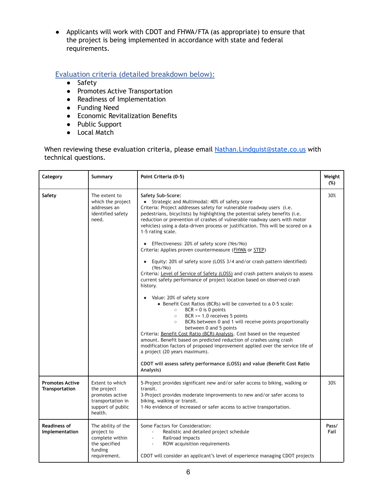● Applicants will work with CDOT and FHWA/FTA (as appropriate) to ensure that the project is being implemented in accordance with state and federal requirements.

#### Evaluation criteria (detailed breakdown below):

- Safety
- Promotes Active Transportation
- Readiness of Implementation
- Funding Need
- Economic Revitalization Benefits
- Public Support
- Local Match

When reviewing these evaluation criteria, please email [Nathan.Lindquist@state.co.us](mailto:Nathan.Lindquist@state.co.us) with technical questions.

| Category                                        | Summary                                                                                                | Point Criteria (0-5)                                                                                                                                                                                                                                                                                                                                                                                                                                                                                                                                                                                                                                                                                                                                                                                                                                                                                                                                                                                                                                                                                                                                                                                                                                                                                                                                                                                                                               | Weight<br>(%) |
|-------------------------------------------------|--------------------------------------------------------------------------------------------------------|----------------------------------------------------------------------------------------------------------------------------------------------------------------------------------------------------------------------------------------------------------------------------------------------------------------------------------------------------------------------------------------------------------------------------------------------------------------------------------------------------------------------------------------------------------------------------------------------------------------------------------------------------------------------------------------------------------------------------------------------------------------------------------------------------------------------------------------------------------------------------------------------------------------------------------------------------------------------------------------------------------------------------------------------------------------------------------------------------------------------------------------------------------------------------------------------------------------------------------------------------------------------------------------------------------------------------------------------------------------------------------------------------------------------------------------------------|---------------|
| Safety                                          | The extent to<br>which the project<br>addresses an<br>identified safety<br>need.                       | <b>Safety Sub-Score:</b><br>• Strategic and Multimodal: 40% of safety score<br>Criteria: Project addresses safety for vulnerable roadway users (i.e.<br>pedestrians, bicyclists) by highlighting the potential safety benefits (i.e.<br>reduction or prevention of crashes of vulnerable roadway users with motor<br>vehicles) using a data-driven process or justification. This will be scored on a<br>1-5 rating scale.<br>Effectiveness: 20% of safety score (Yes/No)<br>Criteria: Applies proven countermeasure (FHWA or STEP)<br>Equity: 20% of safety score (LOSS 3/4 and/or crash pattern identified)<br>(Yes/No)<br>Criteria: Level of Service of Safety (LOSS) and crash pattern analysis to assess<br>current safety performance of project location based on observed crash<br>history.<br>Value: 20% of safety score<br>• Benefit Cost Ratios (BCRs) will be converted to a 0-5 scale:<br>$BCR = 0$ is 0 points<br>$\circ$<br>BCR $>= 1.0$ receives 5 points<br>$\circ$<br>BCRs between 0 and 1 will receive points proportionally<br>$\circ$<br>between 0 and 5 points<br>Criteria: Benefit Cost Ratio (BCR) Analysis. Cost based on the requested<br>amount. Benefit based on predicted reduction of crashes using crash<br>modification factors of proposed improvement applied over the service life of<br>a project (20 years maximum).<br>CDOT will assess safety performance (LOSS) and value (Benefit Cost Ratio<br>Analysis) | 30%           |
| <b>Promotes Active</b><br><b>Transportation</b> | Extent to which<br>the project<br>promotes active<br>transportation in<br>support of public<br>health. | 5-Project provides significant new and/or safer access to biking, walking or<br>transit.<br>3-Project provides moderate improvements to new and/or safer access to<br>biking, walking or transit.<br>1-No evidence of increased or safer access to active transportation.                                                                                                                                                                                                                                                                                                                                                                                                                                                                                                                                                                                                                                                                                                                                                                                                                                                                                                                                                                                                                                                                                                                                                                          | 30%           |
| <b>Readiness of</b><br>Implementation           | The ability of the<br>project to<br>complete within<br>the specified<br>funding<br>requirement.        | Some Factors for Consideration:<br>Realistic and detailed project schedule<br>Railroad impacts<br>ROW acquisition requirements<br>$\blacksquare$<br>CDOT will consider an applicant's level of experience managing CDOT projects                                                                                                                                                                                                                                                                                                                                                                                                                                                                                                                                                                                                                                                                                                                                                                                                                                                                                                                                                                                                                                                                                                                                                                                                                   | Pass/<br>Fail |